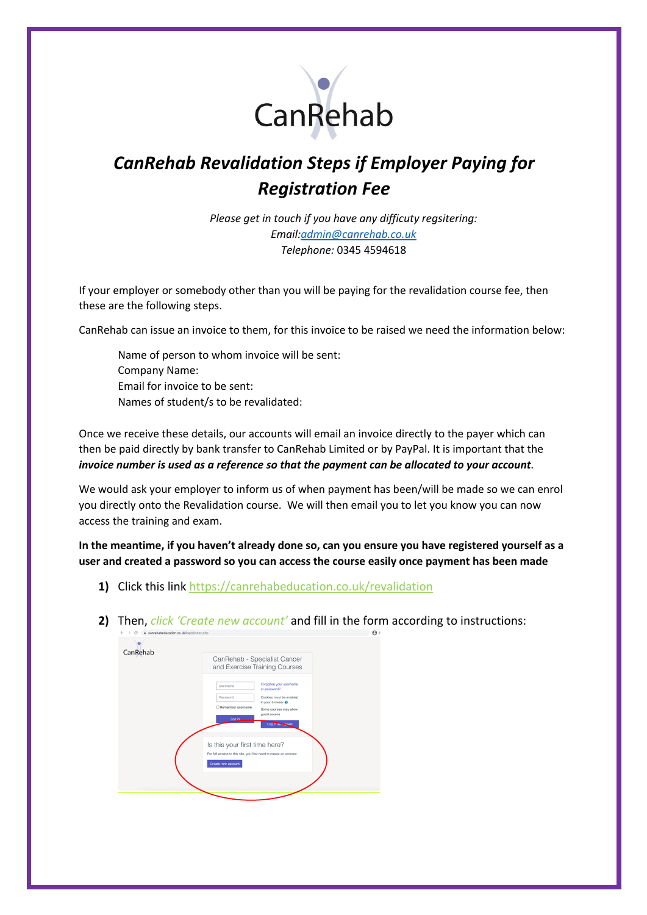

## *CanRehab Revalidation Steps if Employer Paying for Registration Fee*

*Please get in touch if you have any difficuty regsitering: Email:[admin@canrehab.co.uk](mailto:admin@canrehab.co.uk) Telephone:* 0345 4594618

If your employer or somebody other than you will be paying for the revalidation course fee, then these are the following steps.

CanRehab can issue an invoice to them, for this invoice to be raised we need the information below:

Name of person to whom invoice will be sent: Company Name: Email for invoice to be sent: Names of student/s to be revalidated:

Once we receive these details, our accounts will email an invoice directly to the payer which can then be paid directly by bank transfer to CanRehab Limited or by PayPal. It is important that the *invoice number is used as a reference so that the payment can be allocated to your account*.

We would ask your employer to inform us of when payment has been/will be made so we can enrol you directly onto the Revalidation course. We will then email you to let you know you can now access the training and exam.

**In the meantime, if you haven't already done so, can you ensure you have registered yourself as a user and created a password so you can access the course easily once payment has been made**

- **1)** Click this link <https://canrehabeducation.co.uk/revalidation>
- **2)** Then, *click 'Create new account'* and fill in the form according to instructions:

| ÷        | e canrehabeducation.co.uk/login/index.php                                                                                 |                                                                                                                                                      |  |
|----------|---------------------------------------------------------------------------------------------------------------------------|------------------------------------------------------------------------------------------------------------------------------------------------------|--|
| CanRehab | CanRehab - Specialist Cancer<br>and Exercise Training Courses                                                             |                                                                                                                                                      |  |
|          | Username<br>Password<br>Remember username<br>Log in                                                                       | Forgotten your username<br>or password?<br>Cookies must be enabled<br>in your browser<br>Some courses may allow<br>guest access<br>Log in as a guest |  |
|          | Is this your first time here?<br>For full access to this site, you first need to create an account.<br>Create new account |                                                                                                                                                      |  |
|          |                                                                                                                           |                                                                                                                                                      |  |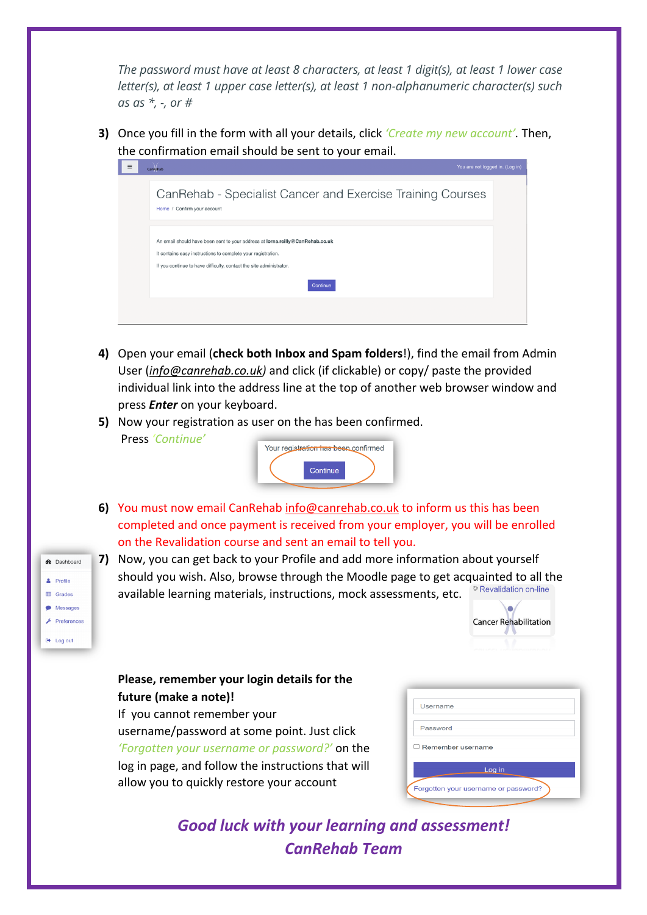*The password must have at least 8 characters, at least 1 digit(s), at least 1 lower case letter(s), at least 1 upper case letter(s), at least 1 non-alphanumeric character(s) such as as \*, -, or #*

**3)** Once you fill in the form with all your details, click *'Create my new account'.* Then, the confirmation email should be sent to your email.



- **4)** Open your email (**check both Inbox and Spam folders**!), find the email from Admin User (*[info@canrehab.co.uk\)](mailto:info@canrehab.co.uk)* and click (if clickable) or copy/ paste the provided individual link into the address line at the top of another web browser window and press *Enter* on your keyboard.
- **5)** Now your registration as user on the has been confirmed. Press *'Continue'*



- **6)** You must now email CanRehab [info@canrehab.co.uk](mailto:info@canrehab.co.uk) to inform us this has been completed and once payment is received from your employer, you will be enrolled on the Revalidation course and sent an email to tell you.
- **7)** Now, you can get back to your Profile and add more information about yourself should you wish. Also, browse through the Moodle page to get acquainted to all the<br>sausilable learning materials instructions mook accessments ats <sup>PRevalidation on-line</sub></sup> available learning materials, instructions, mock assessments, etc.



## **Please, remember your login details for the future (make a note)!**

**2** Dashboard  $\triangle$  Profile  $\Box$  Grades • Messages  $\mathcal{L}$  Preferences

 $\Theta$  Log out

If you cannot remember your username/password at some point. Just click *'Forgotten your username or password?'* on the log in page, and follow the instructions that will allow you to quickly restore your account

| Username                             |  |  |
|--------------------------------------|--|--|
|                                      |  |  |
| Password                             |  |  |
| $\Box$ Remember username             |  |  |
| Log in                               |  |  |
| Forgotten your username or password? |  |  |
|                                      |  |  |

*Good luck with your learning and assessment! CanRehab Team*